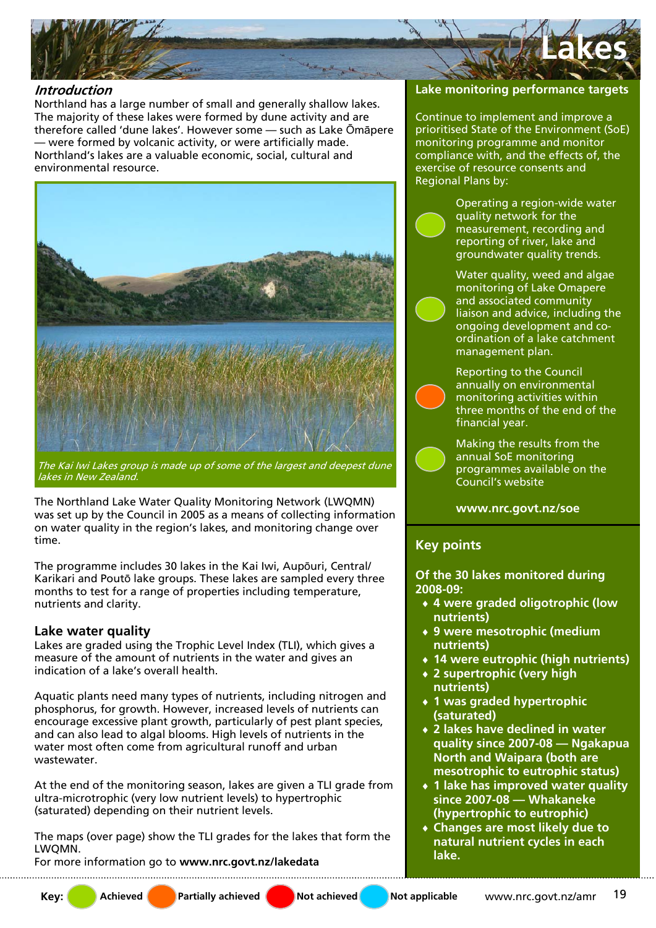

### **Introduction**

Northland has a large number of small and generally shallow lakes. The majority of these lakes were formed by dune activity and are therefore called 'dune lakes'. However some — such as Lake Ōmāpere — were formed by volcanic activity, or were artificially made. Northland's lakes are a valuable economic, social, cultural and environmental resource.



The Kai Iwi Lakes group is made up of some of the largest and deepest dune lakes in New Zealand.

The Northland Lake Water Quality Monitoring Network (LWQMN) was set up by the Council in 2005 as a means of collecting information on water quality in the region's lakes, and monitoring change over time.

The programme includes 30 lakes in the Kai Iwi, Aupōuri, Central/ Karikari and Poutō lake groups. These lakes are sampled every three months to test for a range of properties including temperature, nutrients and clarity.

## **Lake water quality**

Lakes are graded using the Trophic Level Index (TLI), which gives a measure of the amount of nutrients in the water and gives an indication of a lake's overall health.

Aquatic plants need many types of nutrients, including nitrogen and phosphorus, for growth. However, increased levels of nutrients can encourage excessive plant growth, particularly of pest plant species, and can also lead to algal blooms. High levels of nutrients in the water most often come from agricultural runoff and urban wastewater.

At the end of the monitoring season, lakes are given a TLI grade from ultra-microtrophic (very low nutrient levels) to hypertrophic (saturated) depending on their nutrient levels.

The maps (over page) show the TLI grades for the lakes that form the LWQMN.

For more information go to **www.nrc.govt.nz/lakedata** 

## **Lake monitoring performance targets**

Continue to implement and improve a prioritised State of the Environment (SoE) monitoring programme and monitor compliance with, and the effects of, the exercise of resource consents and Regional Plans by:

> Operating a region-wide water quality network for the measurement, recording and reporting of river, lake and groundwater quality trends.

Water quality, weed and algae monitoring of Lake Omapere and associated community liaison and advice, including the ongoing development and coordination of a lake catchment management plan.

Reporting to the Council annually on environmental monitoring activities within three months of the end of the financial year.

Making the results from the annual SoE monitoring programmes available on the Council's website

#### **www.nrc.govt.nz/soe**

# **Key points**

**Of the 30 lakes monitored during 2008-09:** 

- ♦ **4 were graded oligotrophic (low nutrients)**
- ♦ **9 were mesotrophic (medium nutrients)**
- ♦ **14 were eutrophic (high nutrients)**
- ♦ **2 supertrophic (very high nutrients)**
- ♦ **1 was graded hypertrophic (saturated)**
- ♦ **2 lakes have declined in water quality since 2007-08 — Ngakapua North and Waipara (both are mesotrophic to eutrophic status)**
- ♦ **1 lake has improved water quality since 2007-08 — Whakaneke (hypertrophic to eutrophic)**
- ♦ **Changes are most likely due to natural nutrient cycles in each lake.**

**Key:** Achieved **Partially achieved** Not achieved Not applicable